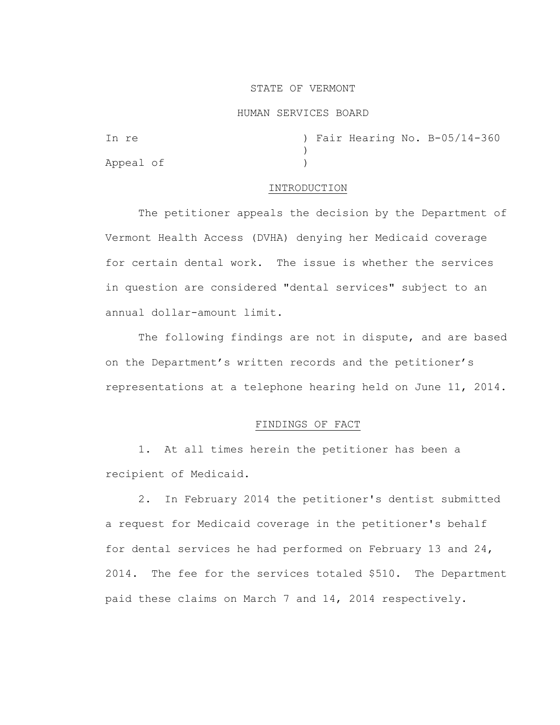## STATE OF VERMONT

### HUMAN SERVICES BOARD

| In re     |  |  | ) Fair Hearing No. B-05/14-360 |
|-----------|--|--|--------------------------------|
|           |  |  |                                |
| Appeal of |  |  |                                |

## INTRODUCTION

The petitioner appeals the decision by the Department of Vermont Health Access (DVHA) denying her Medicaid coverage for certain dental work. The issue is whether the services in question are considered "dental services" subject to an annual dollar-amount limit.

The following findings are not in dispute, and are based on the Department's written records and the petitioner's representations at a telephone hearing held on June 11, 2014.

# FINDINGS OF FACT

1. At all times herein the petitioner has been a recipient of Medicaid.

2. In February 2014 the petitioner's dentist submitted a request for Medicaid coverage in the petitioner's behalf for dental services he had performed on February 13 and 24, 2014. The fee for the services totaled \$510. The Department paid these claims on March 7 and 14, 2014 respectively.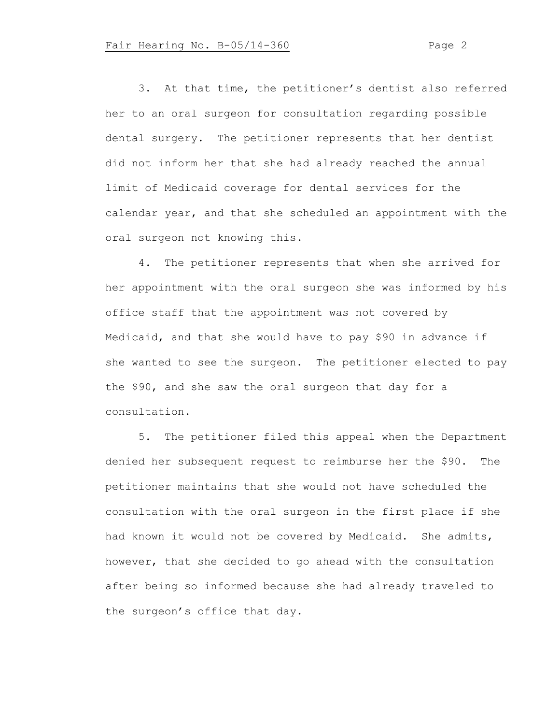3. At that time, the petitioner's dentist also referred her to an oral surgeon for consultation regarding possible dental surgery. The petitioner represents that her dentist did not inform her that she had already reached the annual limit of Medicaid coverage for dental services for the calendar year, and that she scheduled an appointment with the oral surgeon not knowing this.

4. The petitioner represents that when she arrived for her appointment with the oral surgeon she was informed by his office staff that the appointment was not covered by Medicaid, and that she would have to pay \$90 in advance if she wanted to see the surgeon. The petitioner elected to pay the \$90, and she saw the oral surgeon that day for a consultation.

5. The petitioner filed this appeal when the Department denied her subsequent request to reimburse her the \$90. The petitioner maintains that she would not have scheduled the consultation with the oral surgeon in the first place if she had known it would not be covered by Medicaid. She admits, however, that she decided to go ahead with the consultation after being so informed because she had already traveled to the surgeon's office that day.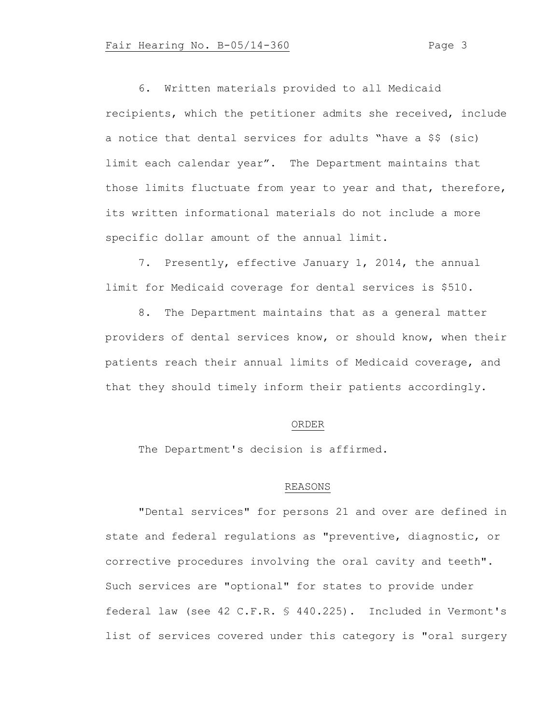6. Written materials provided to all Medicaid recipients, which the petitioner admits she received, include a notice that dental services for adults "have a \$\$ (sic) limit each calendar year". The Department maintains that those limits fluctuate from year to year and that, therefore, its written informational materials do not include a more specific dollar amount of the annual limit.

7. Presently, effective January 1, 2014, the annual limit for Medicaid coverage for dental services is \$510.

8. The Department maintains that as a general matter providers of dental services know, or should know, when their patients reach their annual limits of Medicaid coverage, and that they should timely inform their patients accordingly.

### ORDER

The Department's decision is affirmed.

### REASONS

"Dental services" for persons 21 and over are defined in state and federal regulations as "preventive, diagnostic, or corrective procedures involving the oral cavity and teeth". Such services are "optional" for states to provide under federal law (see 42 C.F.R. § 440.225). Included in Vermont's list of services covered under this category is "oral surgery